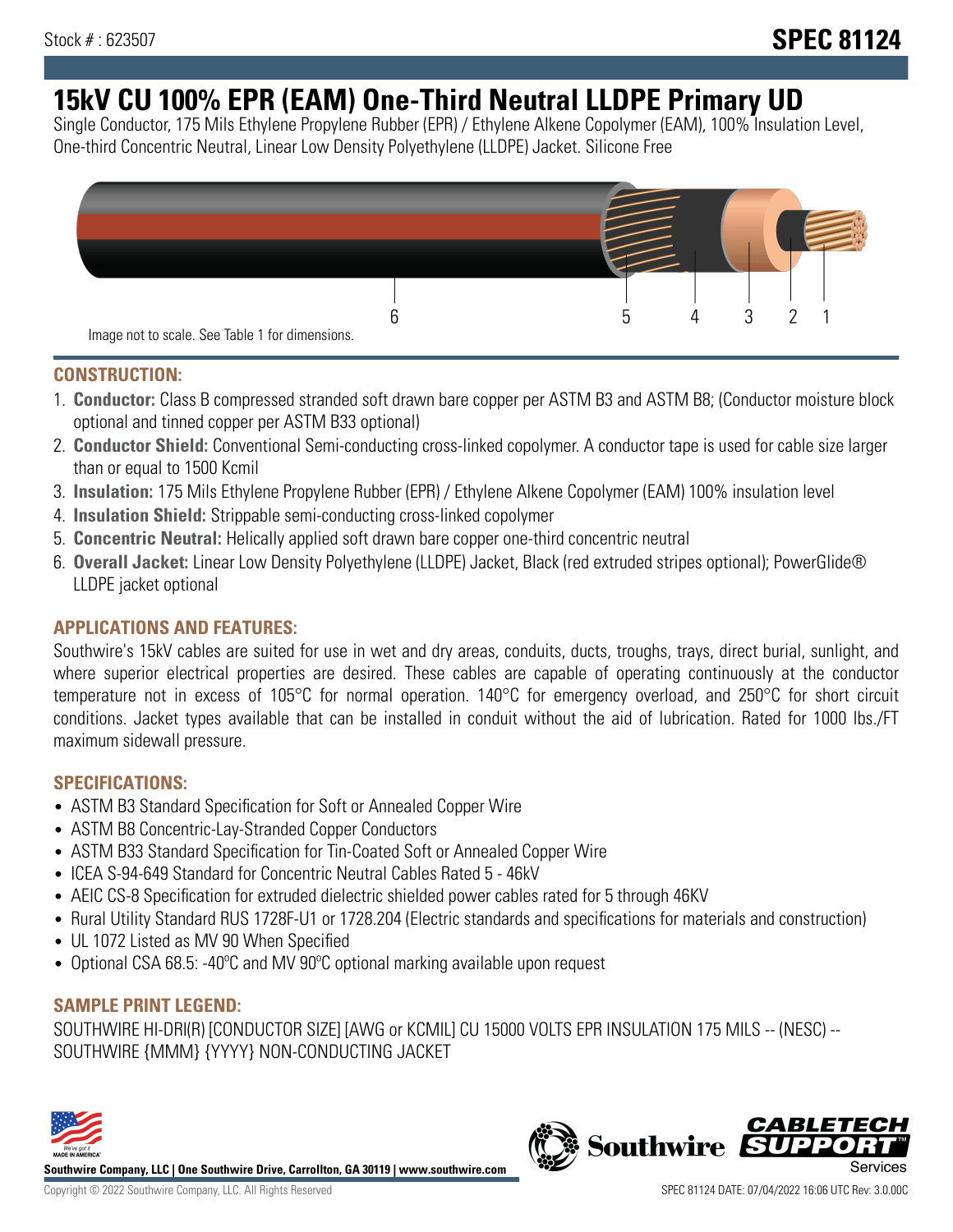# **15kV CU 100% EPR (EAM) One-Third Neutral LLDPE Primary UD**

Single Conductor, 175 Mils Ethylene Propylene Rubber (EPR) / Ethylene Alkene Copolymer (EAM), 100% Insulation Level, One-third Concentric Neutral, Linear Low Density Polyethylene (LLDPE) Jacket. Silicone Free



## **CONSTRUCTION:**

- 1. **Conductor:** Class B compressed stranded soft drawn bare copper per ASTM B3 and ASTM B8; (Conductor moisture block optional and tinned copper per ASTM B33 optional)
- 2. **Conductor Shield:** Conventional Semi-conducting cross-linked copolymer. A conductor tape is used for cable size larger than or equal to 1500 Kcmil
- 3. **Insulation:** 175 Mils Ethylene Propylene Rubber (EPR) / Ethylene Alkene Copolymer (EAM) 100% insulation level
- 4. **Insulation Shield:** Strippable semi-conducting cross-linked copolymer
- 5. **Concentric Neutral:** Helically applied soft drawn bare copper one-third concentric neutral
- 6. **Overall Jacket:** Linear Low Density Polyethylene (LLDPE) Jacket, Black (red extruded stripes optional); PowerGlide® LLDPE jacket optional

# **APPLICATIONS AND FEATURES:**

Southwire's 15kV cables are suited for use in wet and dry areas, conduits, ducts, troughs, trays, direct burial, sunlight, and where superior electrical properties are desired. These cables are capable of operating continuously at the conductor temperature not in excess of 105°C for normal operation. 140°C for emergency overload, and 250°C for short circuit conditions. Jacket types available that can be installed in conduit without the aid of lubrication. Rated for 1000 lbs./FT maximum sidewall pressure.

### **SPECIFICATIONS:**

- ASTM B3 Standard Specification for Soft or Annealed Copper Wire
- ASTM B8 Concentric-Lay-Stranded Copper Conductors
- ASTM B33 Standard Specification for Tin-Coated Soft or Annealed Copper Wire
- ICEA S-94-649 Standard for Concentric Neutral Cables Rated 5 46kV
- AEIC CS-8 Specification for extruded dielectric shielded power cables rated for 5 through 46KV
- Rural Utility Standard RUS 1728F-U1 or 1728.204 (Electric standards and specifications for materials and construction)
- UL 1072 Listed as MV 90 When Specified
- Optional CSA 68.5: -40°C and MV 90°C optional marking available upon request

# **SAMPLE PRINT LEGEND:**

SOUTHWIRE HI-DRI(R) [CONDUCTOR SIZE] [AWG or KCMIL] CU 15000 VOLTS EPR INSULATION 175 MILS -- (NESC) -- SOUTHWIRE {MMM} {YYYY} NON-CONDUCTING JACKET



**Southwire Company, LLC | One Southwire Drive, Carrollton, GA 30119 | www.southwire.com**